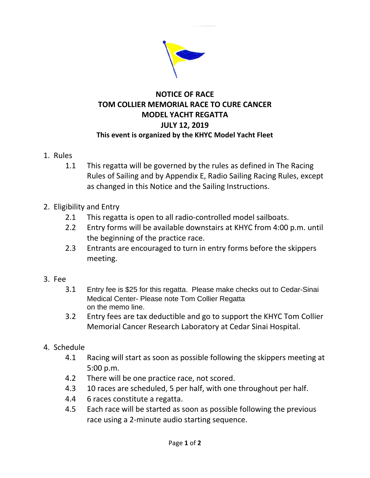

## **NOTICE OF RACE TOM COLLIER MEMORIAL RACE TO CURE CANCER MODEL YACHT REGATTA JULY 12, 2019 This event is organized by the KHYC Model Yacht Fleet**

- 1. Rules
	- 1.1 This regatta will be governed by the rules as defined in The Racing Rules of Sailing and by Appendix E, Radio Sailing Racing Rules, except as changed in this Notice and the Sailing Instructions.
- 2. Eligibility and Entry
	- 2.1 This regatta is open to all radio-controlled model sailboats.
	- 2.2 Entry forms will be available downstairs at KHYC from 4:00 p.m. until the beginning of the practice race.
	- 2.3 Entrants are encouraged to turn in entry forms before the skippers meeting.
- 3. Fee
	- 3.1 Entry fee is \$25 for this regatta. Please make checks out to Cedar-Sinai Medical Center- Please note Tom Collier Regatta on the memo line.
	- 3.2 Entry fees are tax deductible and go to support the KHYC Tom Collier Memorial Cancer Research Laboratory at Cedar Sinai Hospital.
- 4. Schedule
	- 4.1 Racing will start as soon as possible following the skippers meeting at 5:00 p.m.
	- 4.2 There will be one practice race, not scored.
	- 4.3 10 races are scheduled, 5 per half, with one throughout per half.
	- 4.4 6 races constitute a regatta.
	- 4.5 Each race will be started as soon as possible following the previous race using a 2-minute audio starting sequence.